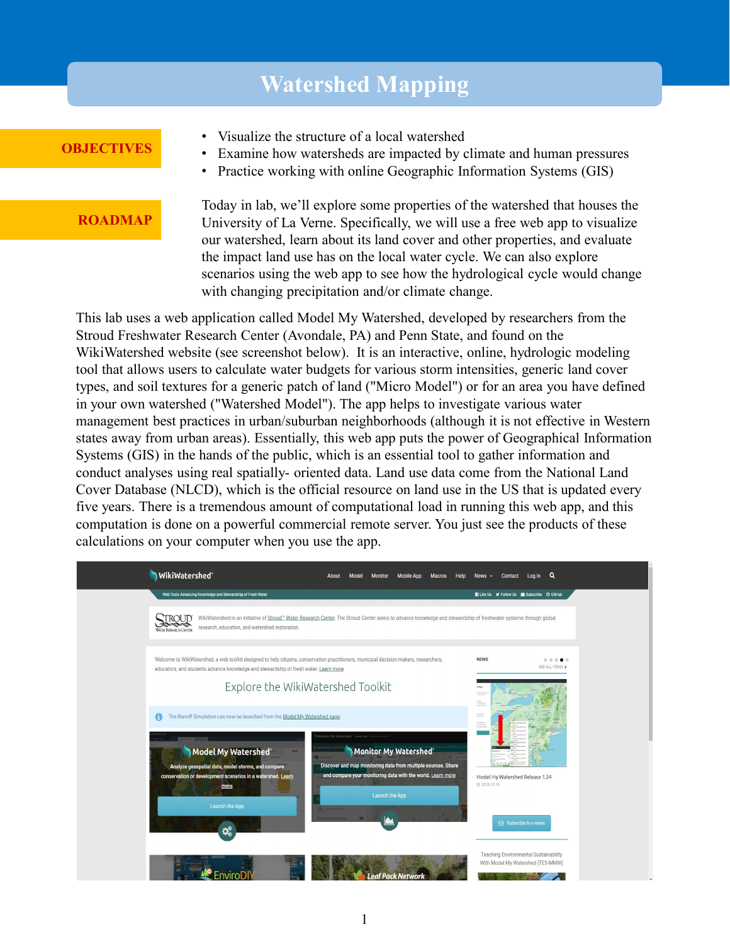# **Watershed Mapping**

#### **OBJECTIVES**

- Visualize the structure of a local watershed
- Examine how watersheds are impacted by climate and human pressures
- Practice working with online Geographic Information Systems (GIS)

#### **ROADMAP**

Today in lab, we'll explore some properties of the watershed that houses the University of La Verne. Specifically, we will use a free web app to visualize our watershed, learn about its land cover and other properties, and evaluate the impact land use has on the local water cycle. We can also explore scenarios using the web app to see how the hydrological cycle would change with changing precipitation and/or climate change.

This lab uses a web application called Model My Watershed, developed by researchers from the Stroud Freshwater Research Center (Avondale, PA) and Penn State, and found on the WikiWatershed website (see screenshot below). It is an interactive, online, hydrologic modeling tool that allows users to calculate water budgets for various storm intensities, generic land cover types, and soil textures for a generic patch of land ("Micro Model") or for an area you have defined in your own watershed ("Watershed Model"). The app helps to investigate various water management best practices in urban/suburban neighborhoods (although it is not effective in Western states away from urban areas). Essentially, this web app puts the power of Geographical Information Systems (GIS) in the hands of the public, which is an essential tool to gather information and conduct analyses using real spatially- oriented data. Land use data come from the National Land Cover Database (NLCD), which is the official resource on land use in the US that is updated every five years. There is a tremendous amount of computational load in running this web app, and this computation is done on a powerful commercial remote server. You just see the products of these calculations on your computer when you use the app.

| WikiWatershed®                                                                                                                                                                                                                 | About<br>Model<br>Mobile App Macros<br><b>Monitor</b><br>Help                                                                                                      | Q<br>News $\sim$<br>Contact<br>Log in                                                                                                                                                                                                                                                                                                                                                                                                                                                                            |
|--------------------------------------------------------------------------------------------------------------------------------------------------------------------------------------------------------------------------------|--------------------------------------------------------------------------------------------------------------------------------------------------------------------|------------------------------------------------------------------------------------------------------------------------------------------------------------------------------------------------------------------------------------------------------------------------------------------------------------------------------------------------------------------------------------------------------------------------------------------------------------------------------------------------------------------|
| Web Tools Advancing Knowledge and Stewardship of Fresh Water                                                                                                                                                                   |                                                                                                                                                                    | <b>BLike Us V</b> Follow Us Subscribe O GitHub                                                                                                                                                                                                                                                                                                                                                                                                                                                                   |
| TROUD <sup>®</sup><br>orort<br>research, education, and watershed restoration.<br><b>WATER RESEARCH CENTER</b>                                                                                                                 | WikiWatershed is an initiative of Stroud™ Water Research Center. The Stroud Center seeks to advance knowledge and stewardship of freshwater systems through global |                                                                                                                                                                                                                                                                                                                                                                                                                                                                                                                  |
| Welcome to WikiWatershed, a web toolkit designed to help citizens, conservation practitioners, municipal decision-makers, researchers,<br>educators, and students advance knowledge and stewardship of fresh water. Learn more |                                                                                                                                                                    | <b>NEWS</b><br>0.0.0.0.0<br>SEE ALL ITEMS >                                                                                                                                                                                                                                                                                                                                                                                                                                                                      |
|                                                                                                                                                                                                                                | Explore the WikiWatershed Toolkit                                                                                                                                  | æ                                                                                                                                                                                                                                                                                                                                                                                                                                                                                                                |
| The Runoff Simulation can now be launched from the Model My Watershed page.<br>69                                                                                                                                              |                                                                                                                                                                    | <b>Contract</b><br>$\begin{array}{l} \mbox{in } \mathcal{S} \text{ of } \mathcal{S} \text{ is a } \\ \mbox{in } \mathcal{S} \text{ is a } \mathcal{S} \text{ is a } \\ \mbox{in } \mathcal{S} \text{ is a } \mathcal{S} \text{ is a } \mathcal{S} \text{ is a } \mathcal{S} \text{ is a } \mathcal{S} \text{ is a } \mathcal{S} \text{ is a } \mathcal{S} \text{ is a } \mathcal{S} \text{ is a } \mathcal{S} \text{ is a } \mathcal{S} \text{ is a } \mathcal{S} \text{ is a } \mathcal{S} \text{ is a } \math$ |
| Model My Watershed®                                                                                                                                                                                                            | Monitor My Watershed' Nome Ster<br>se Data Ci<br>Monitor My Watershed®                                                                                             |                                                                                                                                                                                                                                                                                                                                                                                                                                                                                                                  |
| Analyze geospatial data, model storms, and compare<br>conservation or development scenarios in a watershed. Learn                                                                                                              | Discover and map monitoring data from multiple sources. Share<br>and compare your monitoring data with the world. Learn more                                       | <b>W. B. W. T. W.</b><br>Model My Watershed Release 1.24                                                                                                                                                                                                                                                                                                                                                                                                                                                         |
| more<br>Launch the App                                                                                                                                                                                                         | <b>Launch the App</b>                                                                                                                                              | 2018-12-18                                                                                                                                                                                                                                                                                                                                                                                                                                                                                                       |
| ¢,                                                                                                                                                                                                                             | $\mathbf{a}$<br>Arreston Liberal Society                                                                                                                           | $\boxdot$ Subscribe to e-news                                                                                                                                                                                                                                                                                                                                                                                                                                                                                    |
|                                                                                                                                                                                                                                | Leaf Pack Network                                                                                                                                                  | <b>Teaching Environmental Sustainability</b><br>With Model My Watershed (TES-MMW)                                                                                                                                                                                                                                                                                                                                                                                                                                |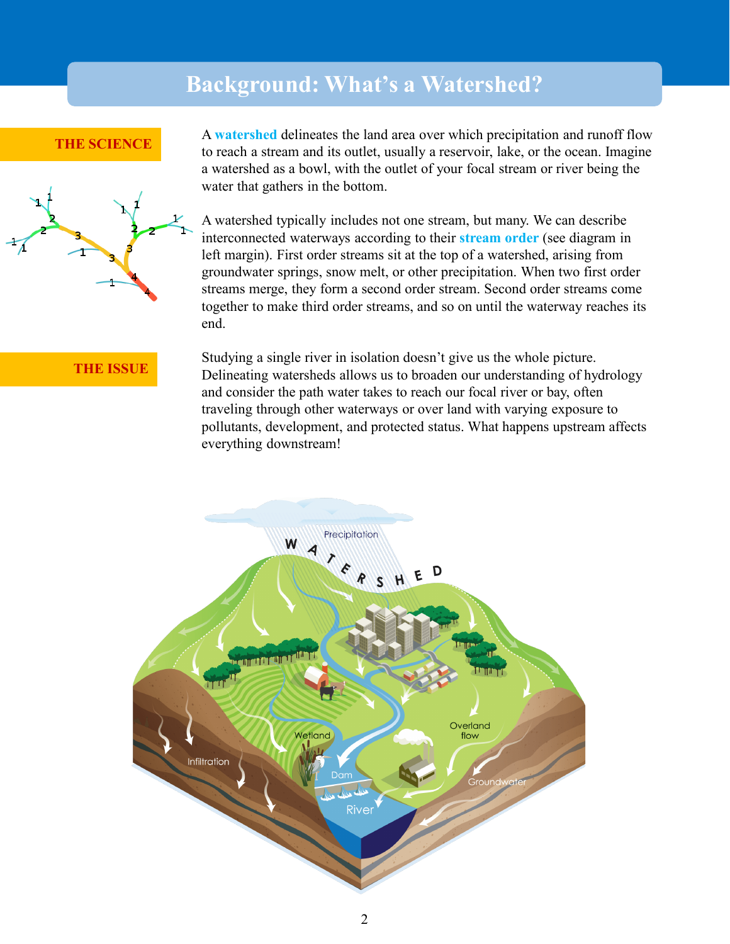### **Background: What's a Watershed?**

#### **THE SCIENCE**

A **watershed** delineates the land area over which precipitation and runoff flow to reach a stream and its outlet, usually a reservoir, lake, or the ocean. Imagine a watershed as a bowl, with the outlet of your focal stream or river being the water that gathers in the bottom.

A watershed typically includes not one stream, but many. We can describe interconnected waterways according to their **stream order** (see diagram in left margin). First order streams sit at the top of a watershed, arising from groundwater springs, snow melt, or other precipitation. When two first order streams merge, they form a second order stream. Second order streams come together to make third order streams, and so on until the waterway reaches its end.

#### **THE ISSUE**

Studying a single river in isolation doesn't give us the whole picture. Delineating watersheds allows us to broaden our understanding of hydrology and consider the path water takes to reach our focal river or bay, often traveling through other waterways or over land with varying exposure to pollutants, development, and protected status. What happens upstream affects everything downstream!

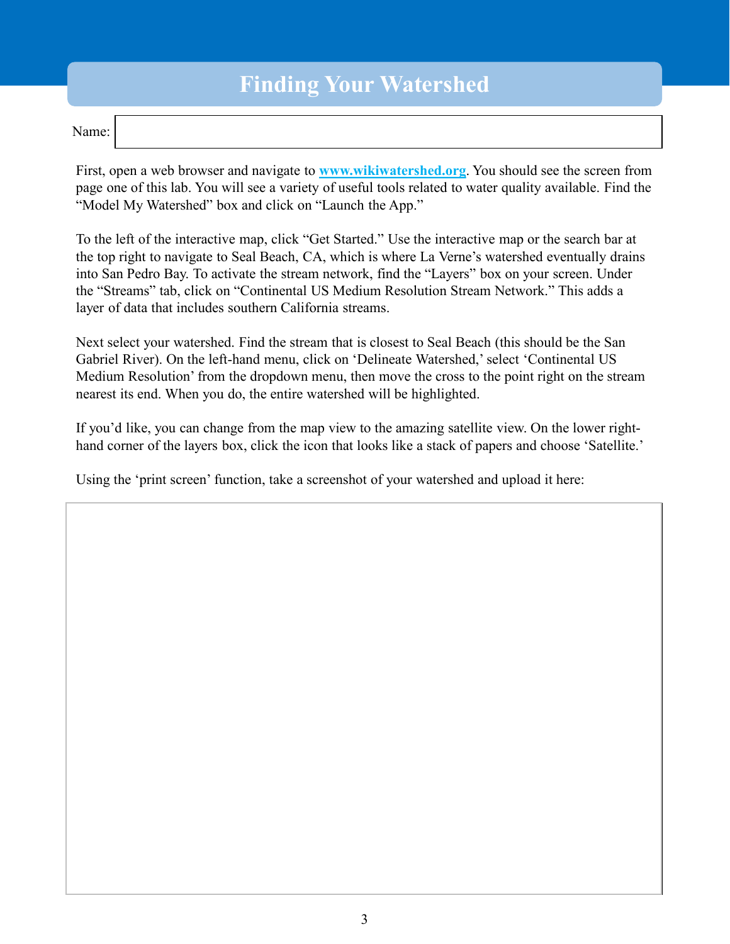## **Finding Your Watershed**

| Name |  |
|------|--|
|------|--|

First, open a web browser and navigate to **[www.wikiwatershed.org](http://www.wikiwatershed.org/)**. You should see the screen from page one of this lab. You will see a variety of useful tools related to water quality available. Find the "Model My Watershed" box and click on "Launch the App."

To the left of the interactive map, click "Get Started." Use the interactive map or the search bar at the top right to navigate to Seal Beach, CA, which is where La Verne's watershed eventually drains into San Pedro Bay. To activate the stream network, find the "Layers" box on your screen. Under the "Streams" tab, click on "Continental US Medium Resolution Stream Network." This adds a layer of data that includes southern California streams.

Next select your watershed. Find the stream that is closest to Seal Beach (this should be the San Gabriel River). On the left-hand menu, click on 'Delineate Watershed,' select 'Continental US Medium Resolution' from the dropdown menu, then move the cross to the point right on the stream nearest its end. When you do, the entire watershed will be highlighted.

If you'd like, you can change from the map view to the amazing satellite view. On the lower righthand corner of the layers box, click the icon that looks like a stack of papers and choose 'Satellite.'

Using the 'print screen' function, take a screenshot of your watershed and upload it here: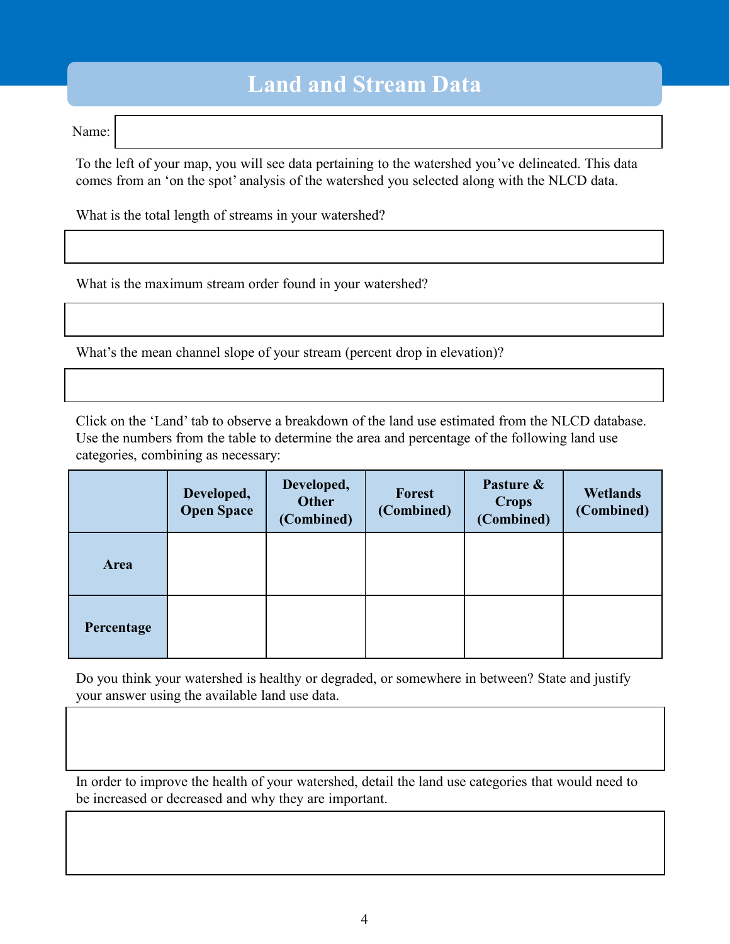### **Land and Stream Data**

Name:

To the left of your map, you will see data pertaining to the watershed you've delineated. This data comes from an 'on the spot' analysis of the watershed you selected along with the NLCD data.

What is the total length of streams in your watershed?

What is the maximum stream order found in your watershed?

What's the mean channel slope of your stream (percent drop in elevation)?

Click on the 'Land' tab to observe a breakdown of the land use estimated from the NLCD database. Use the numbers from the table to determine the area and percentage of the following land use categories, combining as necessary:

|            | Developed,<br><b>Open Space</b> | Developed,<br><b>Other</b><br>(Combined) | <b>Forest</b><br>(Combined) | Pasture &<br><b>Crops</b><br>(Combined) | <b>Wetlands</b><br>(Combined) |
|------------|---------------------------------|------------------------------------------|-----------------------------|-----------------------------------------|-------------------------------|
| Area       |                                 |                                          |                             |                                         |                               |
| Percentage |                                 |                                          |                             |                                         |                               |

Do you think your watershed is healthy or degraded, or somewhere in between? State and justify your answer using the available land use data.

In order to improve the health of your watershed, detail the land use categories that would need to be increased or decreased and why they are important.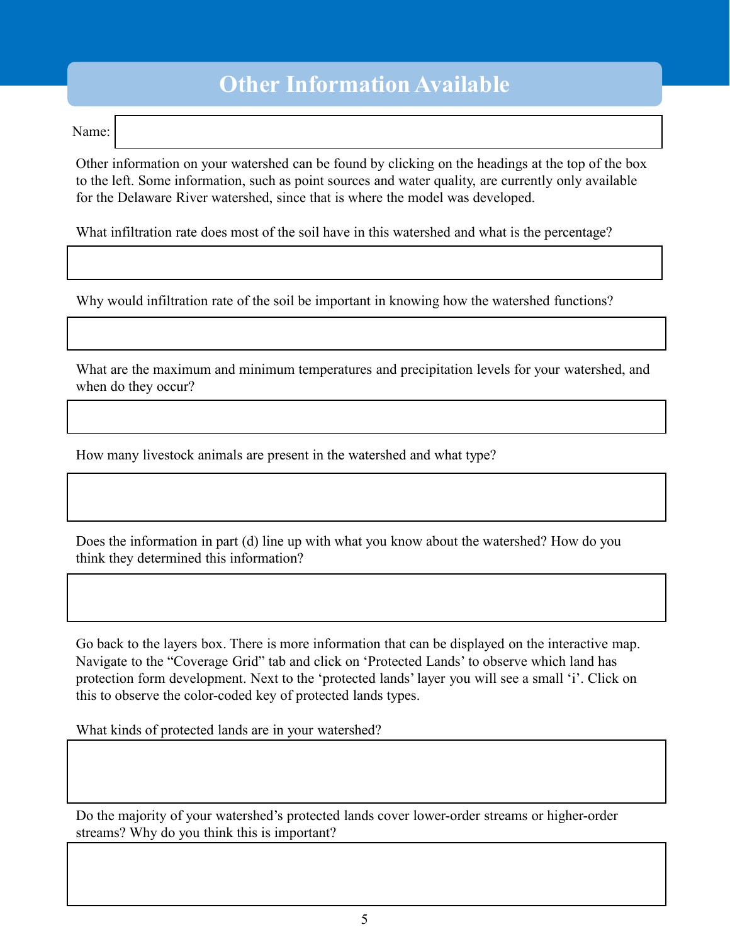## **Other Information Available**

Name:

Other information on your watershed can be found by clicking on the headings at the top of the box to the left. Some information, such as point sources and water quality, are currently only available for the Delaware River watershed, since that is where the model was developed.

What infiltration rate does most of the soil have in this watershed and what is the percentage?

Why would infiltration rate of the soil be important in knowing how the watershed functions?

What are the maximum and minimum temperatures and precipitation levels for your watershed, and when do they occur?

How many livestock animals are present in the watershed and what type?

Does the information in part (d) line up with what you know about the watershed? How do you think they determined this information?

Go back to the layers box. There is more information that can be displayed on the interactive map. Navigate to the "Coverage Grid" tab and click on 'Protected Lands' to observe which land has protection form development. Next to the 'protected lands' layer you will see a small 'i'. Click on this to observe the color-coded key of protected lands types.

What kinds of protected lands are in your watershed?

Do the majority of your watershed's protected lands cover lower-order streams or higher-order streams? Why do you think this is important?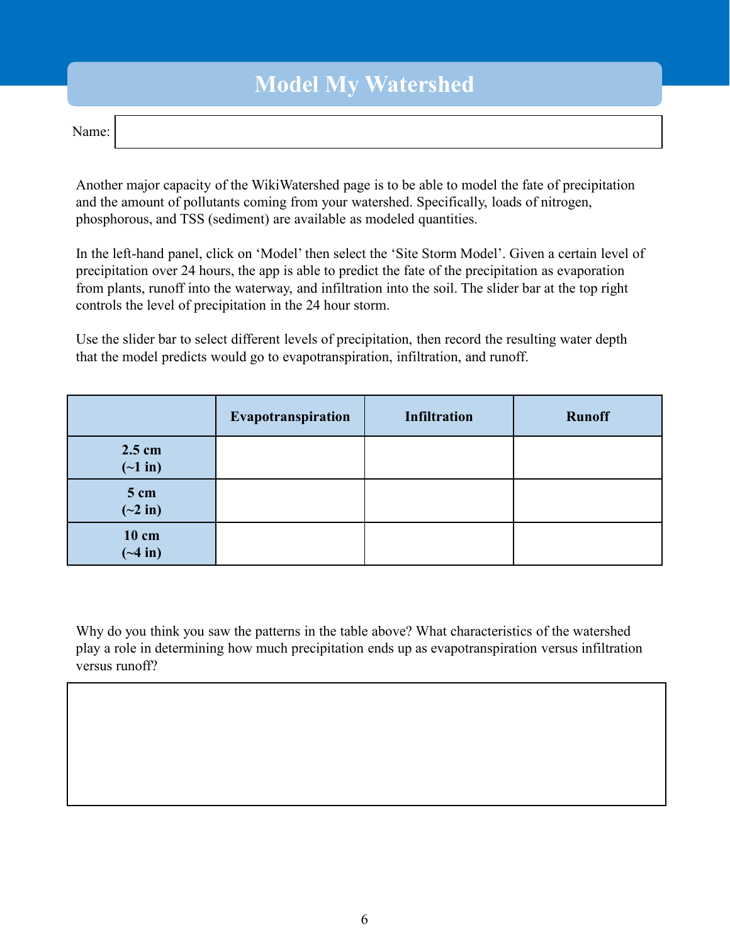# **Model My Watershed**

| иm<br>י |  |
|---------|--|
|---------|--|

Another major capacity of the WikiWatershed page is to be able to model the fate of precipitation and the amount of pollutants coming from your watershed. Specifically, loads of nitrogen, phosphorous, and TSS (sediment) are available as modeled quantities.

In the left-hand panel, click on 'Model' then select the 'Site Storm Model'. Given a certain level of precipitation over 24 hours, the app is able to predict the fate of the precipitation as evaporation from plants, runoff into the waterway, and infiltration into the soil. The slider bar at the top right controls the level of precipitation in the 24 hour storm.

Use the slider bar to select different levels of precipitation, then record the resulting water depth that the model predicts would go to evapotranspiration, infiltration, and runoff.

|                             | Evapotranspiration | <b>Infiltration</b> | <b>Runoff</b> |
|-----------------------------|--------------------|---------------------|---------------|
| 2.5 cm<br>$(-1$ in)         |                    |                     |               |
| $5 \text{ cm}$<br>$(-2$ in) |                    |                     |               |
| 10 cm<br>$(-4$ in)          |                    |                     |               |

Why do you think you saw the patterns in the table above? What characteristics of the watershed play a role in determining how much precipitation ends up as evapotranspiration versus infiltration versus runoff?